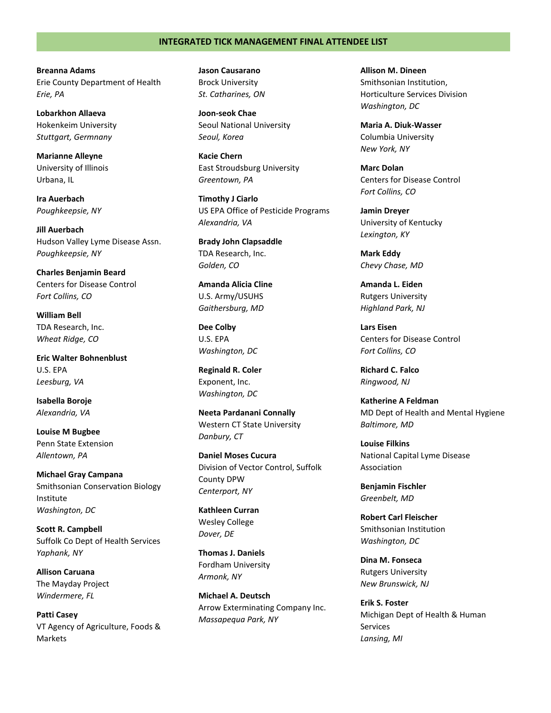**Breanna Adams** Erie County Department of Health *Erie, PA*

**Lobarkhon Allaeva** Hokenkeim University *Stuttgart, Germnany*

**Marianne Alleyne** University of Illinois Urbana, IL

**Ira Auerbach** *Poughkeepsie, NY*

**Jill Auerbach** Hudson Valley Lyme Disease Assn. *Poughkeepsie, NY*

**Charles Benjamin Beard** Centers for Disease Control *Fort Collins, CO*

**William Bell** TDA Research, Inc. *Wheat Ridge, CO*

**Eric Walter Bohnenblust** U.S. EPA *Leesburg, VA*

**Isabella Boroje** *Alexandria, VA*

**Louise M Bugbee** Penn State Extension *Allentown, PA*

**Michael Gray Campana** Smithsonian Conservation Biology Institute *Washington, DC*

**Scott R. Campbell** Suffolk Co Dept of Health Services *Yaphank, NY*

**Allison Caruana** The Mayday Project *Windermere, FL*

**Patti Casey** VT Agency of Agriculture, Foods & Markets

**Jason Causarano** Brock University *St. Catharines, ON*

**Joon-seok Chae** Seoul National University *Seoul, Korea*

**Kacie Chern** East Stroudsburg University *Greentown, PA*

**Timothy J Ciarlo** US EPA Office of Pesticide Programs *Alexandria, VA*

**Brady John Clapsaddle** TDA Research, Inc. *Golden, CO*

**Amanda Alicia Cline** U.S. Army/USUHS *Gaithersburg, MD*

**Dee Colby** U.S. EPA *Washington, DC*

**Reginald R. Coler** Exponent, Inc. *Washington, DC*

**Neeta Pardanani Connally** Western CT State University *Danbury, CT*

**Daniel Moses Cucura** Division of Vector Control, Suffolk County DPW *Centerport, NY*

**Kathleen Curran** Wesley College *Dover, DE*

**Thomas J. Daniels** Fordham University *Armonk, NY*

**Michael A. Deutsch** Arrow Exterminating Company Inc. *Massapequa Park, NY*

**Allison M. Dineen** Smithsonian Institution, Horticulture Services Division *Washington, DC*

**Maria A. Diuk-Wasser** Columbia University *New York, NY*

**Marc Dolan** Centers for Disease Control *Fort Collins, CO*

**Jamin Dreyer** University of Kentucky *Lexington, KY*

**Mark Eddy** *Chevy Chase, MD*

**Amanda L. Eiden** Rutgers University *Highland Park, NJ*

**Lars Eisen** Centers for Disease Control *Fort Collins, CO*

**Richard C. Falco** *Ringwood, NJ*

**Katherine A Feldman** MD Dept of Health and Mental Hygiene *Baltimore, MD*

**Louise Filkins** National Capital Lyme Disease Association

**Benjamin Fischler** *Greenbelt, MD*

**Robert Carl Fleischer** Smithsonian Institution *Washington, DC*

**Dina M. Fonseca** Rutgers University *New Brunswick, NJ*

**Erik S. Foster** Michigan Dept of Health & Human Services *Lansing, MI*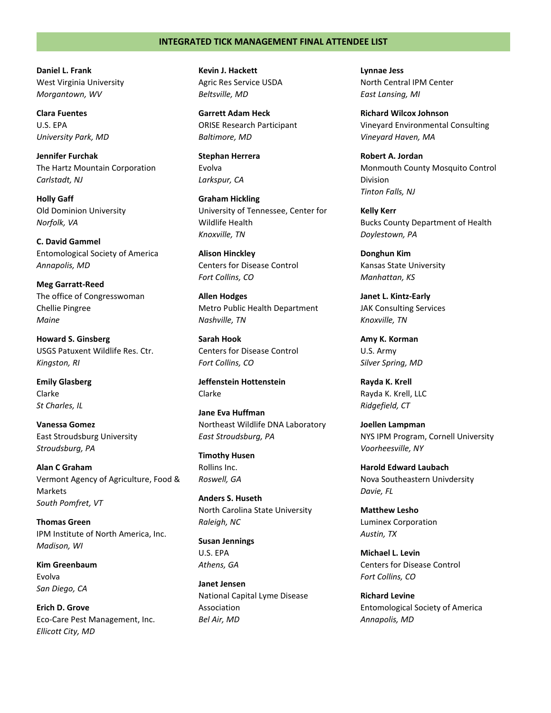**Daniel L. Frank** West Virginia University *Morgantown, WV*

**Clara Fuentes** U.S. EPA *University Park, MD*

**Jennifer Furchak** The Hartz Mountain Corporation *Carlstadt, NJ*

**Holly Gaff** Old Dominion University *Norfolk, VA*

**C. David Gammel** Entomological Society of America *Annapolis, MD*

**Meg Garratt-Reed** The office of Congresswoman Chellie Pingree *Maine*

**Howard S. Ginsberg** USGS Patuxent Wildlife Res. Ctr. *Kingston, RI*

**Emily Glasberg** Clarke *St Charles, IL*

**Vanessa Gomez** East Stroudsburg University *Stroudsburg, PA*

**Alan C Graham** Vermont Agency of Agriculture, Food & Markets *South Pomfret, VT*

**Thomas Green** IPM Institute of North America, Inc. *Madison, WI*

**Kim Greenbaum** Evolva *San Diego, CA*

**Erich D. Grove** Eco-Care Pest Management, Inc. *Ellicott City, MD*

**Kevin J. Hackett** Agric Res Service USDA *Beltsville, MD*

**Garrett Adam Heck** ORISE Research Participant *Baltimore, MD*

**Stephan Herrera** Evolva *Larkspur, CA*

**Graham Hickling** University of Tennessee, Center for Wildlife Health *Knoxville, TN*

**Alison Hinckley** Centers for Disease Control *Fort Collins, CO*

**Allen Hodges** Metro Public Health Department *Nashville, TN*

**Sarah Hook** Centers for Disease Control *Fort Collins, CO*

**Jeffenstein Hottenstein** Clarke

**Jane Eva Huffman** Northeast Wildlife DNA Laboratory *East Stroudsburg, PA*

**Timothy Husen** Rollins Inc. *Roswell, GA*

**Anders S. Huseth** North Carolina State University *Raleigh, NC*

**Susan Jennings** U.S. EPA *Athens, GA*

**Janet Jensen** National Capital Lyme Disease Association *Bel Air, MD*

**Lynnae Jess** North Central IPM Center *East Lansing, MI*

**Richard Wilcox Johnson** Vineyard Environmental Consulting *Vineyard Haven, MA*

**Robert A. Jordan** Monmouth County Mosquito Control Division *Tinton Falls, NJ*

**Kelly Kerr** Bucks County Department of Health *Doylestown, PA*

**Donghun Kim** Kansas State University *Manhattan, KS*

**Janet L. Kintz-Early** JAK Consulting Services *Knoxville, TN*

**Amy K. Korman** U.S. Army *Silver Spring, MD*

**Rayda K. Krell** Rayda K. Krell, LLC *Ridgefield, CT*

**Joellen Lampman** NYS IPM Program, Cornell University *Voorheesville, NY*

**Harold Edward Laubach** Nova Southeastern Univdersity *Davie, FL*

**Matthew Lesho** Luminex Corporation *Austin, TX*

**Michael L. Levin** Centers for Disease Control *Fort Collins, CO*

**Richard Levine** Entomological Society of America *Annapolis, MD*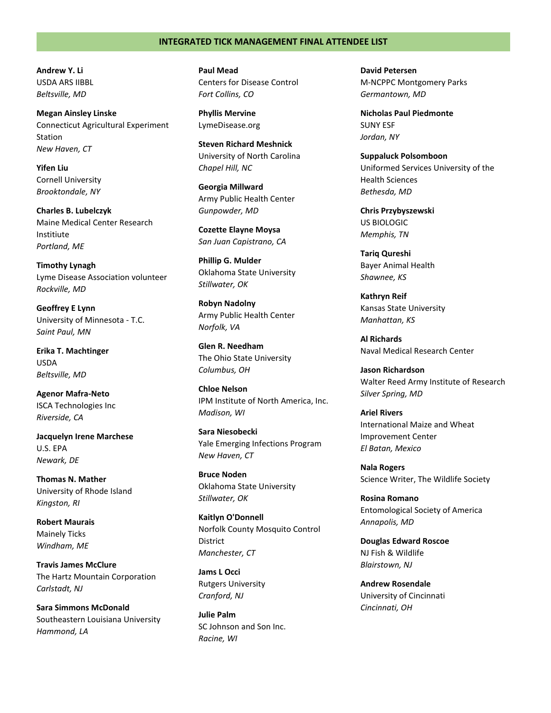**Andrew Y. Li** USDA ARS IIBBL *Beltsville, MD*

**Megan Ainsley Linske** Connecticut Agricultural Experiment Station *New Haven, CT*

**Yifen Liu** Cornell University *Brooktondale, NY*

**Charles B. Lubelczyk** Maine Medical Center Research Institiute *Portland, ME*

**Timothy Lynagh** Lyme Disease Association volunteer *Rockville, MD*

**Geoffrey E Lynn** University of Minnesota - T.C. *Saint Paul, MN*

**Erika T. Machtinger** USDA *Beltsville, MD*

**Agenor Mafra-Neto** ISCA Technologies Inc *Riverside, CA*

**Jacquelyn Irene Marchese** U.S. EPA *Newark, DE*

**Thomas N. Mather** University of Rhode Island *Kingston, RI*

**Robert Maurais** Mainely Ticks *Windham, ME*

**Travis James McClure** The Hartz Mountain Corporation *Carlstadt, NJ*

**Sara Simmons McDonald** Southeastern Louisiana University *Hammond, LA*

**Paul Mead** Centers for Disease Control *Fort Collins, CO*

**Phyllis Mervine** LymeDisease.org

**Steven Richard Meshnick** University of North Carolina *Chapel Hill, NC*

**Georgia Millward** Army Public Health Center *Gunpowder, MD*

**Cozette Elayne Moysa** *San Juan Capistrano, CA*

**Phillip G. Mulder** Oklahoma State University *Stillwater, OK*

**Robyn Nadolny** Army Public Health Center *Norfolk, VA*

**Glen R. Needham** The Ohio State University *Columbus, OH*

**Chloe Nelson** IPM Institute of North America, Inc. *Madison, WI*

**Sara Niesobecki** Yale Emerging Infections Program *New Haven, CT*

**Bruce Noden** Oklahoma State University *Stillwater, OK*

**Kaitlyn O'Donnell** Norfolk County Mosquito Control District *Manchester, CT*

**Jams L Occi** Rutgers University *Cranford, NJ*

**Julie Palm** SC Johnson and Son Inc. *Racine, WI*

**David Petersen** M-NCPPC Montgomery Parks *Germantown, MD*

**Nicholas Paul Piedmonte** SUNY ESF *Jordan, NY*

**Suppaluck Polsomboon** Uniformed Services University of the Health Sciences *Bethesda, MD*

**Chris Przybyszewski** US BIOLOGIC *Memphis, TN*

**Tariq Qureshi** Bayer Animal Health *Shawnee, KS*

**Kathryn Reif** Kansas State University *Manhattan, KS*

**Al Richards** Naval Medical Research Center

**Jason Richardson** Walter Reed Army Institute of Research *Silver Spring, MD*

**Ariel Rivers** International Maize and Wheat Improvement Center *El Batan, Mexico*

**Nala Rogers** Science Writer, The Wildlife Society

**Rosina Romano** Entomological Society of America *Annapolis, MD*

**Douglas Edward Roscoe** NJ Fish & Wildlife *Blairstown, NJ*

**Andrew Rosendale** University of Cincinnati *Cincinnati, OH*